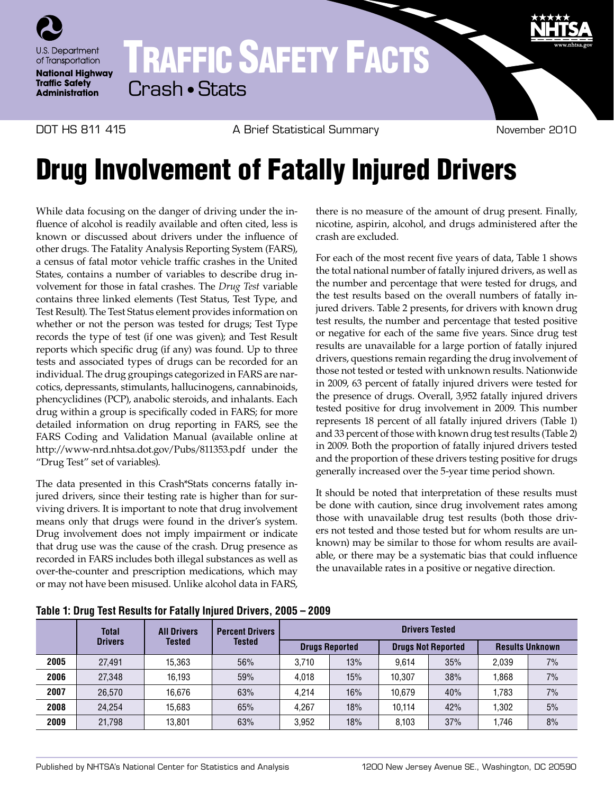

## TRAFFIC SAFETY FACTS Crash • Stats

DOT HS 811 415 A Brief Statistical Summary November 2010

## Drug Involvement of Fatally Injured Drivers

While data focusing on the danger of driving under the influence of alcohol is readily available and often cited, less is known or discussed about drivers under the influence of other drugs. The Fatality Analysis Reporting System (FARS), a census of fatal motor vehicle traffic crashes in the United States, contains a number of variables to describe drug involvement for those in fatal crashes. The *Drug Test* variable contains three linked elements (Test Status, Test Type, and Test Result). The Test Status element provides information on whether or not the person was tested for drugs; Test Type records the type of test (if one was given); and Test Result reports which specific drug (if any) was found. Up to three tests and associated types of drugs can be recorded for an individual. The drug groupings categorized in FARS are narcotics, depressants, stimulants, hallucinogens, cannabinoids, phencyclidines (PCP), anabolic steroids, and inhalants. Each drug within a group is specifically coded in FARS; for more detailed information on drug reporting in FARS, see the FARS Coding and Validation Manual (available online at http://www-nrd.nhtsa.dot.gov/Pubs/811353.pdf under the "Drug Test" set of variables).

The data presented in this Crash\*Stats concerns fatally injured drivers, since their testing rate is higher than for surviving drivers. It is important to note that drug involvement means only that drugs were found in the driver's system. Drug involvement does not imply impairment or indicate that drug use was the cause of the crash. Drug presence as recorded in FARS includes both illegal substances as well as over-the-counter and prescription medications, which may or may not have been misused. Unlike alcohol data in FARS,

there is no measure of the amount of drug present. Finally, nicotine, aspirin, alcohol, and drugs administered after the crash are excluded.

For each of the most recent five years of data, Table 1 shows the total national number of fatally injured drivers, as well as the number and percentage that were tested for drugs, and the test results based on the overall numbers of fatally injured drivers. Table 2 presents, for drivers with known drug test results, the number and percentage that tested positive or negative for each of the same five years. Since drug test results are unavailable for a large portion of fatally injured drivers, questions remain regarding the drug involvement of those not tested or tested with unknown results. Nationwide in 2009, 63 percent of fatally injured drivers were tested for the presence of drugs. Overall, 3,952 fatally injured drivers tested positive for drug involvement in 2009. This number represents 18 percent of all fatally injured drivers (Table 1) and 33 percent of those with known drug test results (Table 2) in 2009. Both the proportion of fatally injured drivers tested and the proportion of these drivers testing positive for drugs generally increased over the 5-year time period shown.

It should be noted that interpretation of these results must be done with caution, since drug involvement rates among those with unavailable drug test results (both those drivers not tested and those tested but for whom results are unknown) may be similar to those for whom results are available, or there may be a systematic bias that could influence the unavailable rates in a positive or negative direction.

|      | <b>Total</b><br><b>Drivers</b> | <b>All Drivers</b><br>Tested | <b>Percent Drivers</b><br><b>Tested</b> | <b>Drivers Tested</b> |     |                           |     |                        |    |  |
|------|--------------------------------|------------------------------|-----------------------------------------|-----------------------|-----|---------------------------|-----|------------------------|----|--|
|      |                                |                              |                                         | <b>Drugs Reported</b> |     | <b>Drugs Not Reported</b> |     | <b>Results Unknown</b> |    |  |
| 2005 | 27.491                         | 15,363                       | 56%                                     | 3.710                 | 13% | 9.614                     | 35% | 2.039                  | 7% |  |
| 2006 | 27.348                         | 16.193                       | 59%                                     | 4.018                 | 15% | 10.307                    | 38% | 1.868                  | 7% |  |
| 2007 | 26.570                         | 16.676                       | 63%                                     | 4.214                 | 16% | 10.679                    | 40% | 1.783                  | 7% |  |
| 2008 | 24.254                         | 15,683                       | 65%                                     | 4.267                 | 18% | 10.114                    | 42% | 1.302                  | 5% |  |
| 2009 | 21.798                         | 13.801                       | 63%                                     | 3.952                 | 18% | 8.103                     | 37% | .746                   | 8% |  |

**Table 1: Drug Test Results for Fatally Injured Drivers, 2005 – 2009**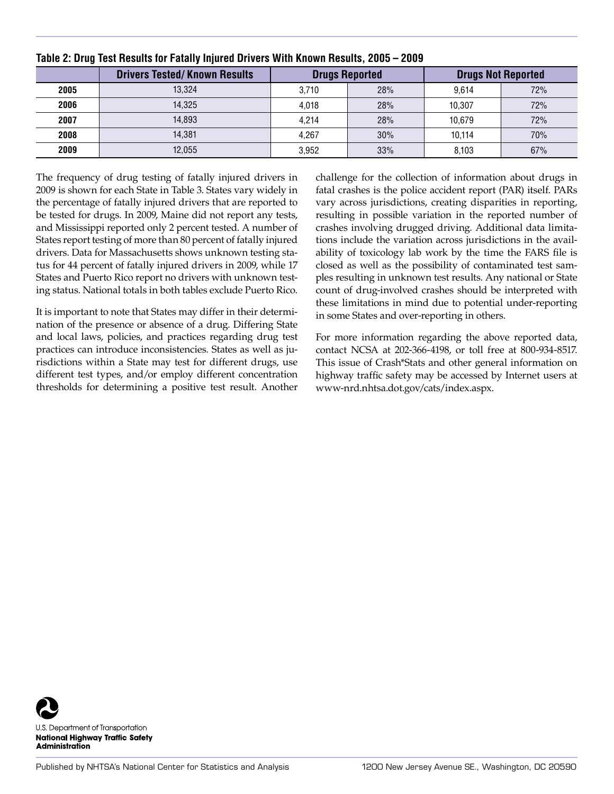|      | <b>Drivers Tested/Known Results</b> |       | <b>Drugs Reported</b> | <b>Drugs Not Reported</b> |     |  |
|------|-------------------------------------|-------|-----------------------|---------------------------|-----|--|
| 2005 | 13.324                              | 3.710 | 28%                   | 9.614                     | 72% |  |
| 2006 | 14.325                              | 4.018 | 28%                   | 10.307                    | 72% |  |
| 2007 | 14.893                              | 4.214 | 28%                   | 10.679                    | 72% |  |
| 2008 | 14.381                              | 4.267 | 30%                   | 10.114                    | 70% |  |
| 2009 | 12,055                              | 3,952 | 33%                   | 8.103                     | 67% |  |

## **Table 2: Drug Test Results for Fatally Injured Drivers With Known Results, 2005 – 2009**

The frequency of drug testing of fatally injured drivers in 2009 is shown for each State in Table 3. States vary widely in the percentage of fatally injured drivers that are reported to be tested for drugs. In 2009, Maine did not report any tests, and Mississippi reported only 2 percent tested. A number of States report testing of more than 80 percent of fatally injured drivers. Data for Massachusetts shows unknown testing status for 44 percent of fatally injured drivers in 2009, while 17 States and Puerto Rico report no drivers with unknown testing status. National totals in both tables exclude Puerto Rico.

It is important to note that States may differ in their determination of the presence or absence of a drug. Differing State and local laws, policies, and practices regarding drug test practices can introduce inconsistencies. States as well as jurisdictions within a State may test for different drugs, use different test types, and/or employ different concentration thresholds for determining a positive test result. Another challenge for the collection of information about drugs in fatal crashes is the police accident report (PAR) itself. PARs vary across jurisdictions, creating disparities in reporting, resulting in possible variation in the reported number of crashes involving drugged driving. Additional data limitations include the variation across jurisdictions in the availability of toxicology lab work by the time the FARS file is closed as well as the possibility of contaminated test samples resulting in unknown test results. Any national or State count of drug-involved crashes should be interpreted with these limitations in mind due to potential under-reporting in some States and over-reporting in others.

For more information regarding the above reported data, contact NCSA at 202-366-4198, or toll free at 800-934-8517. This issue of Crash\*Stats and other general information on highway traffic safety may be accessed by Internet users at [www-nrd.nhtsa.dot.gov/cats/index.aspx](http://www-nrd.nhtsa.dot.gov/cats/index.aspx).